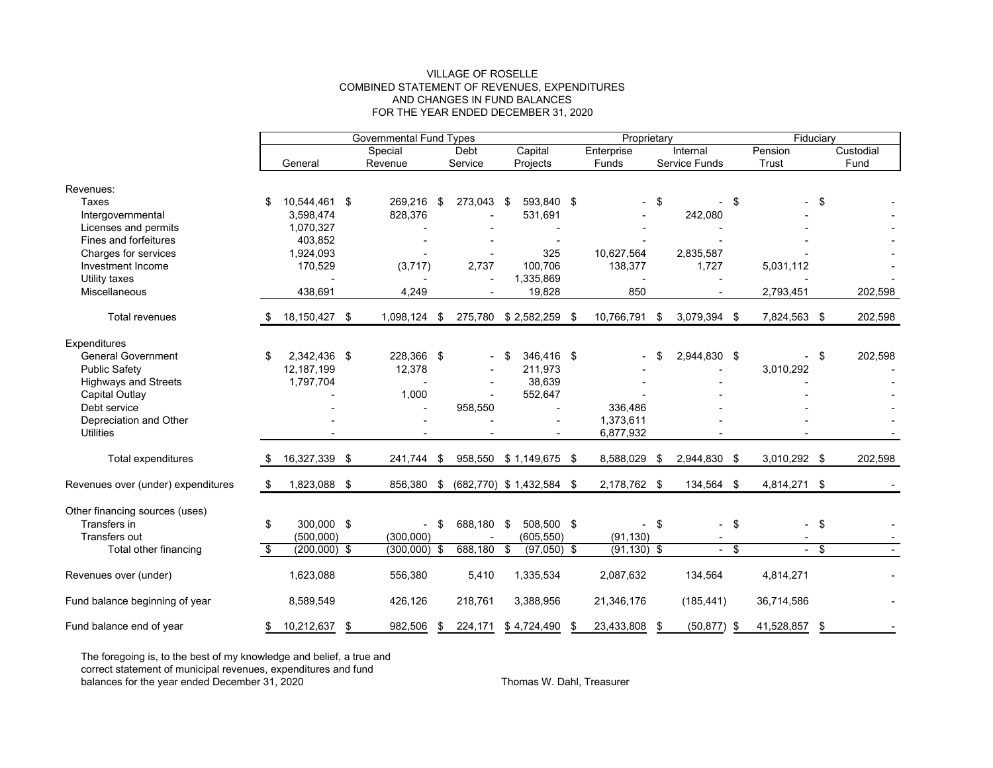#### VILLAGE OF ROSELLE COMBINED STATEMENT OF REVENUES, EXPENDITURES AND CHANGES IN FUND BALANCESFOR THE YEAR ENDED DECEMBER 31, 2020

|                                    | <b>Governmental Fund Types</b> |     |                          |     | Proprietary  |                             |                  | Fiduciary |                |        |                |        |           |
|------------------------------------|--------------------------------|-----|--------------------------|-----|--------------|-----------------------------|------------------|-----------|----------------|--------|----------------|--------|-----------|
|                                    |                                |     | Special                  |     | Debt         | Capital                     | Enterprise       |           | Internal       |        | Pension        |        | Custodial |
|                                    | General                        |     | Revenue                  |     | Service      | Projects                    | Funds            |           | Service Funds  |        | Trust          |        | Fund      |
| Revenues:                          |                                |     |                          |     |              |                             |                  |           |                |        |                |        |           |
| Taxes                              | \$<br>10,544,461 \$            |     | 269,216                  | -\$ | 273,043 \$   | 593.840 \$                  |                  | \$        |                | \$     |                | \$     |           |
| Intergovernmental                  | 3,598,474                      |     | 828,376                  |     |              | 531,691                     |                  |           | 242,080        |        |                |        |           |
| Licenses and permits               | 1,070,327                      |     |                          |     |              |                             |                  |           |                |        |                |        |           |
| Fines and forfeitures              | 403,852                        |     |                          |     |              |                             |                  |           |                |        |                |        |           |
| Charges for services               | 1,924,093                      |     |                          |     |              | 325                         | 10.627,564       |           | 2,835,587      |        |                |        |           |
| Investment Income                  | 170,529                        |     | (3,717)                  |     | 2,737        | 100,706                     | 138,377          |           | 1,727          |        | 5,031,112      |        |           |
| Utility taxes                      |                                |     |                          |     |              | 1,335,869                   |                  |           |                |        |                |        |           |
| <b>Miscellaneous</b>               | 438,691                        |     | 4,249                    |     |              | 19,828                      | 850              |           |                |        | 2,793,451      |        | 202,598   |
| <b>Total revenues</b>              | 18,150,427 \$                  |     | 1,098,124 \$             |     | 275,780      | $$2,582,259$ \;             | 10,766,791       | \$        | 3,079,394 \$   |        | 7,824,563 \$   |        | 202,598   |
|                                    |                                |     |                          |     |              |                             |                  |           |                |        |                |        |           |
| Expenditures                       |                                |     |                          |     |              |                             |                  |           |                |        |                |        |           |
| <b>General Government</b>          | \$<br>2,342,436 \$             |     | 228,366 \$               |     |              | 346,416 \$                  |                  |           | 2,944,830 \$   |        |                | $-$ \$ | 202,598   |
| <b>Public Safety</b>               | 12,187,199                     |     | 12,378                   |     |              | 211,973                     |                  |           |                |        | 3,010,292      |        |           |
| <b>Highways and Streets</b>        | 1,797,704                      |     |                          |     |              | 38,639                      |                  |           |                |        |                |        |           |
| Capital Outlay                     |                                |     | 1,000                    |     |              | 552,647                     |                  |           |                |        |                |        |           |
| Debt service                       |                                |     |                          |     | 958,550      |                             | 336,486          |           |                |        |                |        |           |
| Depreciation and Other             |                                |     |                          |     |              |                             | 1,373,611        |           |                |        |                |        |           |
| <b>Utilities</b>                   |                                |     |                          |     |              |                             | 6,877,932        |           |                |        |                |        |           |
| Total expenditures                 | 16,327,339                     | -\$ | 241,744 \$               |     | 958,550      | $$1,149,675$ \$             | 8,588,029        | \$        | 2,944,830 \$   |        | 3,010,292 \$   |        | 202,598   |
| Revenues over (under) expenditures | \$<br>1,823,088                | \$  | 856,380                  | \$  |              | $(682,770)$ \$ 1,432,584 \$ | 2,178,762 \$     |           | 134,564        | - \$   | 4,814,271 \$   |        |           |
|                                    |                                |     |                          |     |              |                             |                  |           |                |        |                |        |           |
| Other financing sources (uses)     |                                |     |                          |     |              |                             |                  |           |                |        |                |        |           |
| Transfers in                       | \$<br>300.000 \$               |     | $\overline{\phantom{0}}$ | -\$ | 688.180 \$   | 508,500 \$                  |                  | \$        |                | $-$ \$ |                | \$     |           |
| Transfers out                      | (500,000)                      |     | (300,000)                |     |              | (605, 550)                  | (91, 130)        |           | $\sim$         |        | $\blacksquare$ |        |           |
| Total other financing              | \$<br>$(200,000)$ \$           |     | $(300,000)$ \$           |     | $688,180$ \$ | $(97,050)$ \$               | $(91, 130)$ \$   |           |                | $-$ \$ |                | $-$ \$ |           |
| Revenues over (under)              | 1,623,088                      |     | 556,380                  |     | 5,410        | 1,335,534                   | 2,087,632        |           | 134,564        |        | 4,814,271      |        |           |
| Fund balance beginning of year     | 8,589,549                      |     | 426,126                  |     | 218,761      | 3,388,956                   | 21,346,176       |           | (185, 441)     |        | 36,714,586     |        |           |
| Fund balance end of year           | \$<br>10,212,637 \$            |     | 982,506                  | \$  | 224,171      | \$4,724,490                 | \$<br>23,433,808 | \$        | $(50, 877)$ \$ |        | 41,528,857 \$  |        |           |

The foregoing is, to the best of my knowledge and belief, a true and correct statement of municipal revenues, expenditures and fund balances for the year ended December 31, 2020 Thomas W. Dahl, Treasurer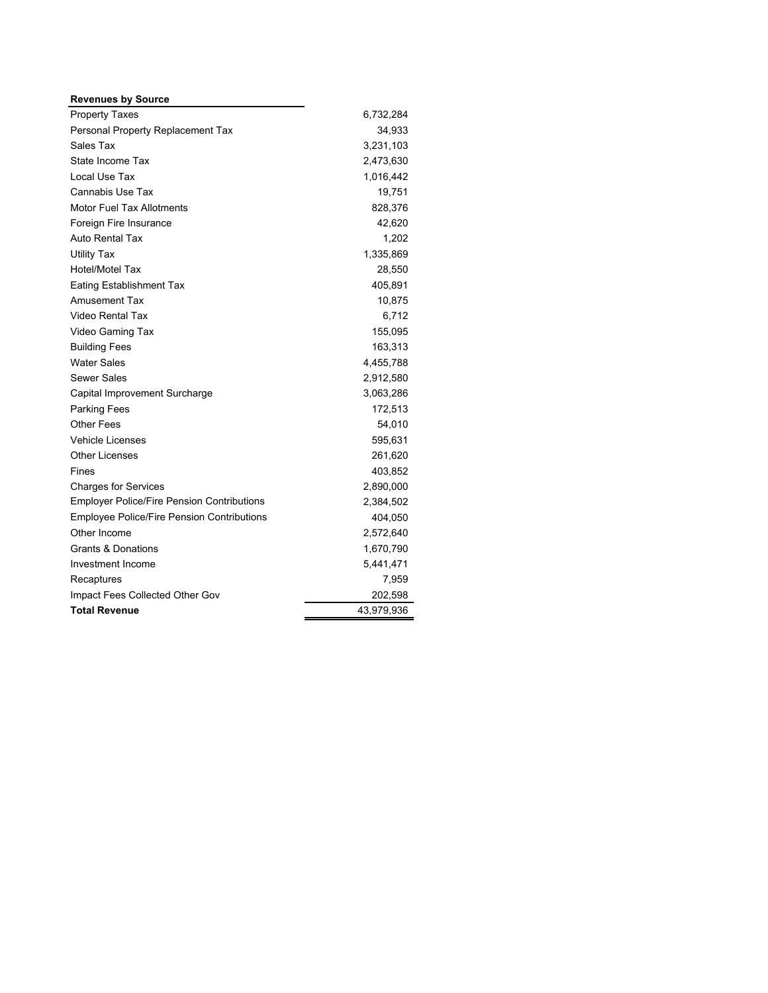| <b>Revenues by Source</b>                         |            |  |  |  |
|---------------------------------------------------|------------|--|--|--|
| <b>Property Taxes</b>                             | 6,732,284  |  |  |  |
| Personal Property Replacement Tax                 | 34,933     |  |  |  |
| Sales Tax                                         | 3,231,103  |  |  |  |
| State Income Tax                                  | 2,473,630  |  |  |  |
| Local Use Tax                                     | 1,016,442  |  |  |  |
| Cannabis Use Tax                                  | 19,751     |  |  |  |
| <b>Motor Fuel Tax Allotments</b>                  | 828,376    |  |  |  |
| Foreign Fire Insurance                            | 42,620     |  |  |  |
| <b>Auto Rental Tax</b>                            | 1,202      |  |  |  |
| <b>Utility Tax</b>                                | 1,335,869  |  |  |  |
| <b>Hotel/Motel Tax</b>                            | 28,550     |  |  |  |
| <b>Eating Establishment Tax</b>                   | 405,891    |  |  |  |
| <b>Amusement Tax</b>                              | 10,875     |  |  |  |
| Video Rental Tax                                  | 6,712      |  |  |  |
| Video Gaming Tax                                  | 155,095    |  |  |  |
| <b>Building Fees</b>                              | 163,313    |  |  |  |
| <b>Water Sales</b>                                | 4,455,788  |  |  |  |
| Sewer Sales                                       | 2,912,580  |  |  |  |
| Capital Improvement Surcharge                     | 3,063,286  |  |  |  |
| <b>Parking Fees</b>                               | 172,513    |  |  |  |
| <b>Other Fees</b>                                 | 54,010     |  |  |  |
| <b>Vehicle Licenses</b>                           | 595,631    |  |  |  |
| <b>Other Licenses</b>                             | 261,620    |  |  |  |
| Fines                                             | 403,852    |  |  |  |
| <b>Charges for Services</b>                       | 2,890,000  |  |  |  |
| <b>Employer Police/Fire Pension Contributions</b> | 2,384,502  |  |  |  |
| <b>Employee Police/Fire Pension Contributions</b> | 404,050    |  |  |  |
| Other Income                                      | 2,572,640  |  |  |  |
| <b>Grants &amp; Donations</b>                     | 1,670,790  |  |  |  |
| Investment Income                                 | 5,441,471  |  |  |  |
| Recaptures                                        | 7,959      |  |  |  |
| Impact Fees Collected Other Gov                   | 202,598    |  |  |  |
| <b>Total Revenue</b>                              | 43,979,936 |  |  |  |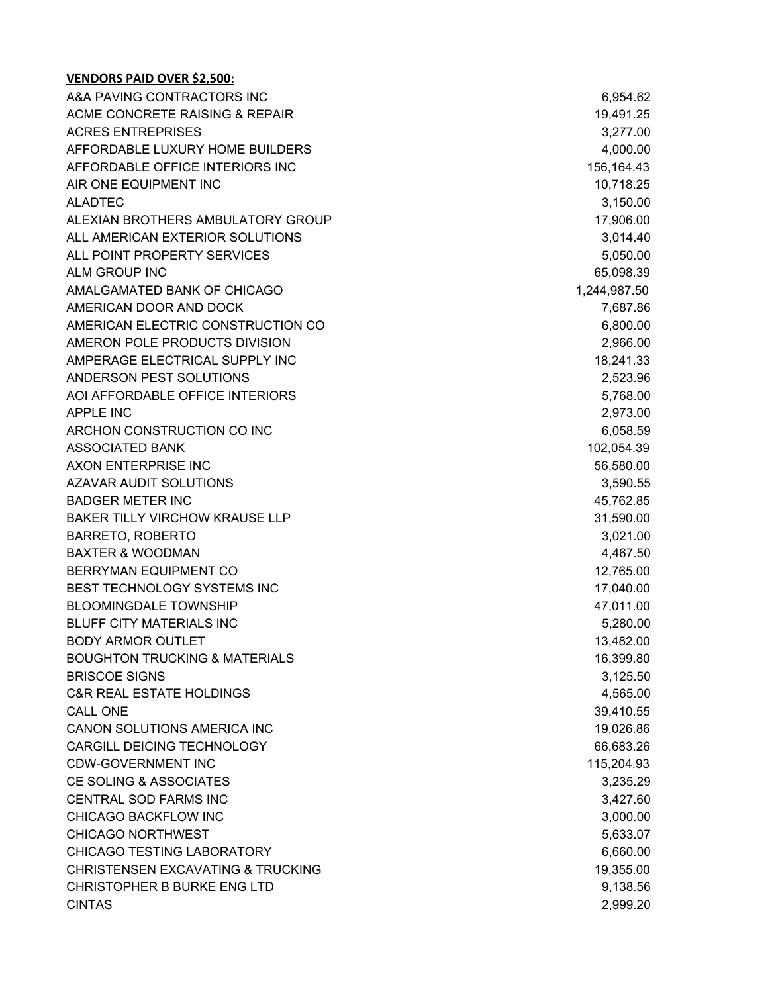| A&A PAVING CONTRACTORS INC                   | 6,954.62     |
|----------------------------------------------|--------------|
| ACME CONCRETE RAISING & REPAIR               | 19,491.25    |
| <b>ACRES ENTREPRISES</b>                     | 3,277.00     |
| AFFORDABLE LUXURY HOME BUILDERS              | 4,000.00     |
| AFFORDABLE OFFICE INTERIORS INC              | 156,164.43   |
| AIR ONE EQUIPMENT INC                        | 10,718.25    |
| <b>ALADTEC</b>                               | 3,150.00     |
| ALEXIAN BROTHERS AMBULATORY GROUP            | 17,906.00    |
| ALL AMERICAN EXTERIOR SOLUTIONS              | 3,014.40     |
| ALL POINT PROPERTY SERVICES                  | 5,050.00     |
| ALM GROUP INC                                | 65,098.39    |
| AMALGAMATED BANK OF CHICAGO                  | 1,244,987.50 |
| AMERICAN DOOR AND DOCK                       | 7,687.86     |
| AMERICAN ELECTRIC CONSTRUCTION CO            | 6,800.00     |
| AMERON POLE PRODUCTS DIVISION                | 2,966.00     |
| AMPERAGE ELECTRICAL SUPPLY INC               | 18,241.33    |
| ANDERSON PEST SOLUTIONS                      | 2,523.96     |
| AOI AFFORDABLE OFFICE INTERIORS              | 5,768.00     |
| <b>APPLE INC</b>                             | 2,973.00     |
| ARCHON CONSTRUCTION CO INC                   | 6,058.59     |
| ASSOCIATED BANK                              | 102,054.39   |
| AXON ENTERPRISE INC                          | 56,580.00    |
| <b>AZAVAR AUDIT SOLUTIONS</b>                | 3,590.55     |
| <b>BADGER METER INC</b>                      | 45,762.85    |
| BAKER TILLY VIRCHOW KRAUSE LLP               | 31,590.00    |
| <b>BARRETO, ROBERTO</b>                      | 3,021.00     |
| <b>BAXTER &amp; WOODMAN</b>                  | 4,467.50     |
| BERRYMAN EQUIPMENT CO                        | 12,765.00    |
| BEST TECHNOLOGY SYSTEMS INC                  | 17,040.00    |
| <b>BLOOMINGDALE TOWNSHIP</b>                 | 47,011.00    |
| <b>BLUFF CITY MATERIALS INC</b>              | 5,280.00     |
| <b>BODY ARMOR OUTLET</b>                     | 13,482.00    |
| <b>BOUGHTON TRUCKING &amp; MATERIALS</b>     | 16,399.80    |
| <b>BRISCOE SIGNS</b>                         | 3,125.50     |
| <b>C&amp;R REAL ESTATE HOLDINGS</b>          | 4,565.00     |
| <b>CALL ONE</b>                              | 39,410.55    |
| CANON SOLUTIONS AMERICA INC                  | 19,026.86    |
| CARGILL DEICING TECHNOLOGY                   | 66,683.26    |
| <b>CDW-GOVERNMENT INC</b>                    | 115,204.93   |
| <b>CE SOLING &amp; ASSOCIATES</b>            | 3,235.29     |
| CENTRAL SOD FARMS INC                        | 3,427.60     |
| CHICAGO BACKFLOW INC                         | 3,000.00     |
| <b>CHICAGO NORTHWEST</b>                     | 5,633.07     |
| <b>CHICAGO TESTING LABORATORY</b>            | 6,660.00     |
| <b>CHRISTENSEN EXCAVATING &amp; TRUCKING</b> | 19,355.00    |
| <b>CHRISTOPHER B BURKE ENG LTD</b>           | 9,138.56     |
| <b>CINTAS</b>                                | 2,999.20     |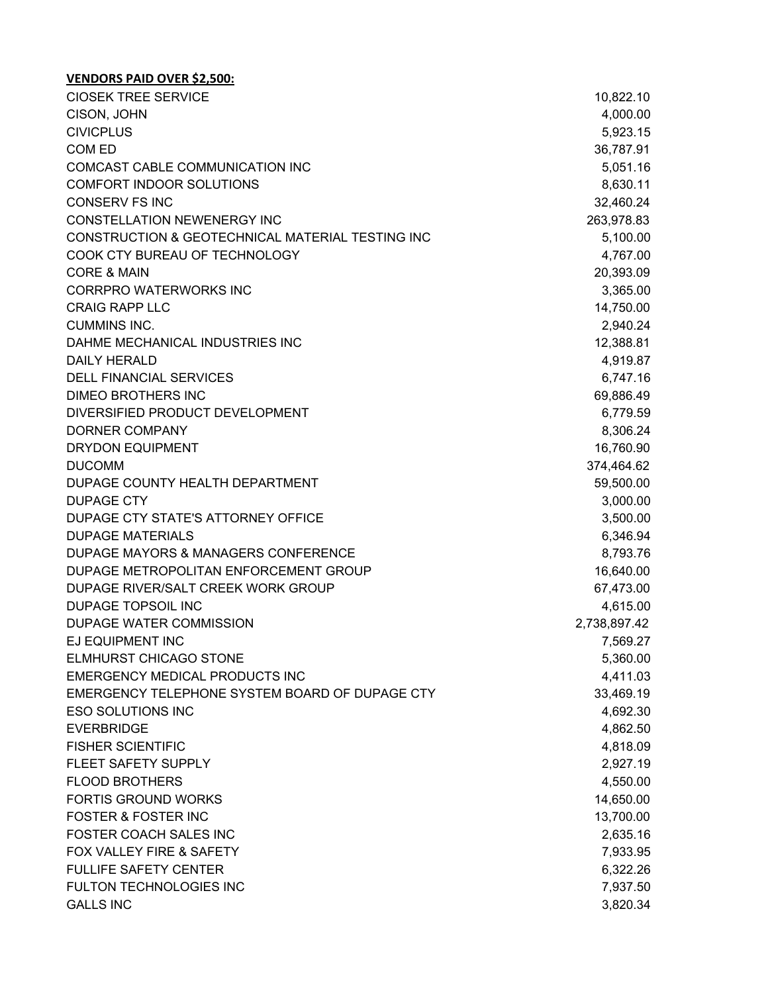| <b>CIOSEK TREE SERVICE</b>                       | 10,822.10    |
|--------------------------------------------------|--------------|
| CISON, JOHN                                      | 4,000.00     |
| <b>CIVICPLUS</b>                                 | 5,923.15     |
| COM ED                                           | 36,787.91    |
| COMCAST CABLE COMMUNICATION INC                  | 5,051.16     |
| COMFORT INDOOR SOLUTIONS                         | 8,630.11     |
| <b>CONSERV FS INC</b>                            | 32,460.24    |
| <b>CONSTELLATION NEWENERGY INC</b>               | 263,978.83   |
| CONSTRUCTION & GEOTECHNICAL MATERIAL TESTING INC | 5,100.00     |
| COOK CTY BUREAU OF TECHNOLOGY                    | 4,767.00     |
| <b>CORE &amp; MAIN</b>                           | 20,393.09    |
| <b>CORRPRO WATERWORKS INC</b>                    | 3,365.00     |
| <b>CRAIG RAPP LLC</b>                            | 14,750.00    |
| <b>CUMMINS INC.</b>                              | 2,940.24     |
| DAHME MECHANICAL INDUSTRIES INC                  | 12,388.81    |
| <b>DAILY HERALD</b>                              | 4,919.87     |
| <b>DELL FINANCIAL SERVICES</b>                   | 6,747.16     |
| <b>DIMEO BROTHERS INC</b>                        | 69,886.49    |
| DIVERSIFIED PRODUCT DEVELOPMENT                  | 6,779.59     |
| <b>DORNER COMPANY</b>                            | 8,306.24     |
| <b>DRYDON EQUIPMENT</b>                          | 16,760.90    |
| <b>DUCOMM</b>                                    | 374,464.62   |
| DUPAGE COUNTY HEALTH DEPARTMENT                  | 59,500.00    |
| <b>DUPAGE CTY</b>                                | 3,000.00     |
| DUPAGE CTY STATE'S ATTORNEY OFFICE               | 3,500.00     |
| <b>DUPAGE MATERIALS</b>                          | 6,346.94     |
| DUPAGE MAYORS & MANAGERS CONFERENCE              | 8,793.76     |
| DUPAGE METROPOLITAN ENFORCEMENT GROUP            | 16,640.00    |
| DUPAGE RIVER/SALT CREEK WORK GROUP               | 67,473.00    |
| <b>DUPAGE TOPSOIL INC</b>                        | 4,615.00     |
| DUPAGE WATER COMMISSION                          | 2,738,897.42 |
| EJ EQUIPMENT INC                                 | 7,569.27     |
| <b>ELMHURST CHICAGO STONE</b>                    | 5,360.00     |
| <b>EMERGENCY MEDICAL PRODUCTS INC</b>            | 4,411.03     |
| EMERGENCY TELEPHONE SYSTEM BOARD OF DUPAGE CTY   | 33,469.19    |
| <b>ESO SOLUTIONS INC</b>                         | 4,692.30     |
| <b>EVERBRIDGE</b>                                | 4,862.50     |
| <b>FISHER SCIENTIFIC</b>                         | 4,818.09     |
| FLEET SAFETY SUPPLY                              | 2,927.19     |
| <b>FLOOD BROTHERS</b>                            | 4,550.00     |
| <b>FORTIS GROUND WORKS</b>                       | 14,650.00    |
| <b>FOSTER &amp; FOSTER INC</b>                   | 13,700.00    |
| FOSTER COACH SALES INC                           | 2,635.16     |
| FOX VALLEY FIRE & SAFETY                         | 7,933.95     |
| <b>FULLIFE SAFETY CENTER</b>                     | 6,322.26     |
| FULTON TECHNOLOGIES INC                          | 7,937.50     |
| <b>GALLS INC</b>                                 | 3,820.34     |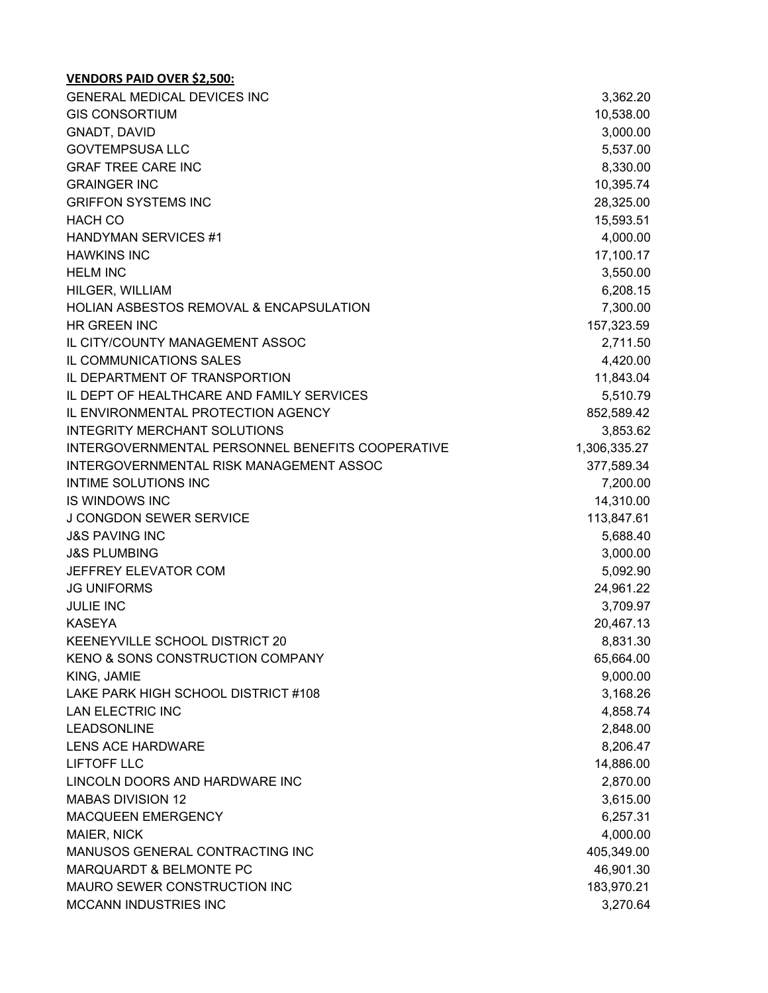| <b>GENERAL MEDICAL DEVICES INC</b>               | 3,362.20     |
|--------------------------------------------------|--------------|
| <b>GIS CONSORTIUM</b>                            | 10,538.00    |
| GNADT, DAVID                                     | 3,000.00     |
| <b>GOVTEMPSUSA LLC</b>                           | 5,537.00     |
| <b>GRAF TREE CARE INC</b>                        | 8,330.00     |
| <b>GRAINGER INC</b>                              | 10,395.74    |
| <b>GRIFFON SYSTEMS INC</b>                       | 28,325.00    |
| <b>HACH CO</b>                                   | 15,593.51    |
| <b>HANDYMAN SERVICES #1</b>                      | 4,000.00     |
| <b>HAWKINS INC</b>                               | 17,100.17    |
| <b>HELM INC</b>                                  | 3,550.00     |
| HILGER, WILLIAM                                  | 6,208.15     |
| HOLIAN ASBESTOS REMOVAL & ENCAPSULATION          | 7,300.00     |
| HR GREEN INC                                     | 157,323.59   |
| IL CITY/COUNTY MANAGEMENT ASSOC                  | 2,711.50     |
| IL COMMUNICATIONS SALES                          | 4,420.00     |
| IL DEPARTMENT OF TRANSPORTION                    | 11,843.04    |
| IL DEPT OF HEALTHCARE AND FAMILY SERVICES        | 5,510.79     |
| IL ENVIRONMENTAL PROTECTION AGENCY               | 852,589.42   |
| <b>INTEGRITY MERCHANT SOLUTIONS</b>              | 3,853.62     |
| INTERGOVERNMENTAL PERSONNEL BENEFITS COOPERATIVE | 1,306,335.27 |
| INTERGOVERNMENTAL RISK MANAGEMENT ASSOC          | 377,589.34   |
| <b>INTIME SOLUTIONS INC</b>                      | 7,200.00     |
| <b>IS WINDOWS INC</b>                            | 14,310.00    |
| <b>J CONGDON SEWER SERVICE</b>                   | 113,847.61   |
| <b>J&amp;S PAVING INC</b>                        | 5,688.40     |
| <b>J&amp;S PLUMBING</b>                          | 3,000.00     |
| JEFFREY ELEVATOR COM                             | 5,092.90     |
| <b>JG UNIFORMS</b>                               | 24,961.22    |
| <b>JULIE INC</b>                                 | 3,709.97     |
| <b>KASEYA</b>                                    | 20,467.13    |
| KEENEYVILLE SCHOOL DISTRICT 20                   | 8,831.30     |
| KENO & SONS CONSTRUCTION COMPANY                 | 65,664.00    |
| KING, JAMIE                                      | 9,000.00     |
| LAKE PARK HIGH SCHOOL DISTRICT #108              | 3,168.26     |
| <b>LAN ELECTRIC INC</b>                          | 4,858.74     |
| <b>LEADSONLINE</b>                               | 2,848.00     |
| <b>LENS ACE HARDWARE</b>                         | 8,206.47     |
| <b>LIFTOFF LLC</b>                               | 14,886.00    |
| LINCOLN DOORS AND HARDWARE INC                   | 2,870.00     |
| <b>MABAS DIVISION 12</b>                         | 3,615.00     |
| MACQUEEN EMERGENCY                               | 6,257.31     |
| MAIER, NICK                                      | 4,000.00     |
| MANUSOS GENERAL CONTRACTING INC                  | 405,349.00   |
| MARQUARDT & BELMONTE PC                          | 46,901.30    |
| MAURO SEWER CONSTRUCTION INC                     | 183,970.21   |
| MCCANN INDUSTRIES INC                            | 3,270.64     |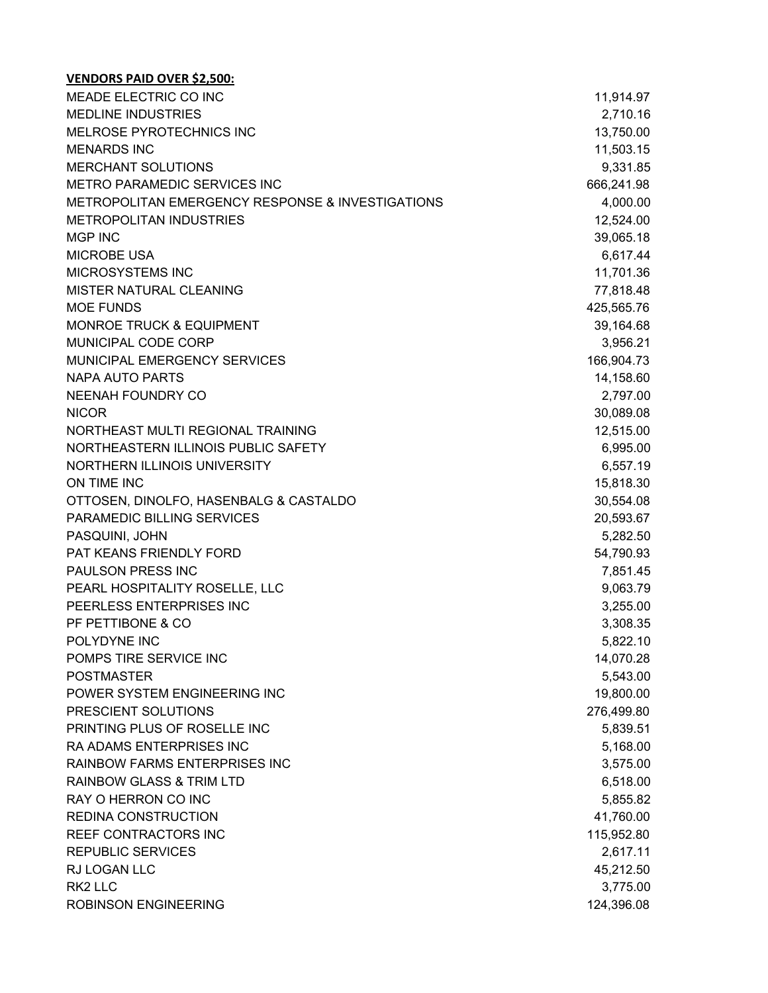| MEADE ELECTRIC CO INC                            | 11,914.97  |
|--------------------------------------------------|------------|
| <b>MEDLINE INDUSTRIES</b>                        | 2,710.16   |
| MELROSE PYROTECHNICS INC                         | 13,750.00  |
| <b>MENARDS INC</b>                               | 11,503.15  |
| <b>MERCHANT SOLUTIONS</b>                        | 9,331.85   |
| METRO PARAMEDIC SERVICES INC                     | 666,241.98 |
| METROPOLITAN EMERGENCY RESPONSE & INVESTIGATIONS | 4,000.00   |
| <b>METROPOLITAN INDUSTRIES</b>                   | 12,524.00  |
| <b>MGP INC</b>                                   | 39,065.18  |
| <b>MICROBE USA</b>                               | 6,617.44   |
| MICROSYSTEMS INC                                 | 11,701.36  |
| MISTER NATURAL CLEANING                          | 77,818.48  |
| <b>MOE FUNDS</b>                                 | 425,565.76 |
| <b>MONROE TRUCK &amp; EQUIPMENT</b>              | 39,164.68  |
| MUNICIPAL CODE CORP                              | 3,956.21   |
| MUNICIPAL EMERGENCY SERVICES                     | 166,904.73 |
| NAPA AUTO PARTS                                  | 14,158.60  |
| <b>NEENAH FOUNDRY CO</b>                         | 2,797.00   |
| <b>NICOR</b>                                     | 30,089.08  |
| NORTHEAST MULTI REGIONAL TRAINING                | 12,515.00  |
| NORTHEASTERN ILLINOIS PUBLIC SAFETY              | 6,995.00   |
| NORTHERN ILLINOIS UNIVERSITY                     | 6,557.19   |
| ON TIME INC                                      | 15,818.30  |
| OTTOSEN, DINOLFO, HASENBALG & CASTALDO           | 30,554.08  |
| PARAMEDIC BILLING SERVICES                       | 20,593.67  |
| PASQUINI, JOHN                                   | 5,282.50   |
| PAT KEANS FRIENDLY FORD                          | 54,790.93  |
| PAULSON PRESS INC                                | 7,851.45   |
| PEARL HOSPITALITY ROSELLE, LLC                   | 9,063.79   |
| PEERLESS ENTERPRISES INC                         | 3,255.00   |
| PF PETTIBONE & CO                                | 3,308.35   |
| POLYDYNE INC                                     | 5,822.10   |
| POMPS TIRE SERVICE INC                           | 14,070.28  |
| <b>POSTMASTER</b>                                | 5,543.00   |
| POWER SYSTEM ENGINEERING INC                     | 19,800.00  |
| PRESCIENT SOLUTIONS                              | 276,499.80 |
| PRINTING PLUS OF ROSELLE INC                     | 5,839.51   |
| RA ADAMS ENTERPRISES INC                         | 5,168.00   |
| <b>RAINBOW FARMS ENTERPRISES INC</b>             | 3,575.00   |
| <b>RAINBOW GLASS &amp; TRIM LTD</b>              | 6,518.00   |
| RAY O HERRON CO INC                              | 5,855.82   |
| REDINA CONSTRUCTION                              | 41,760.00  |
| <b>REEF CONTRACTORS INC</b>                      | 115,952.80 |
| <b>REPUBLIC SERVICES</b>                         | 2,617.11   |
| RJ LOGAN LLC                                     | 45,212.50  |
| RK2 LLC                                          | 3,775.00   |
| <b>ROBINSON ENGINEERING</b>                      | 124,396.08 |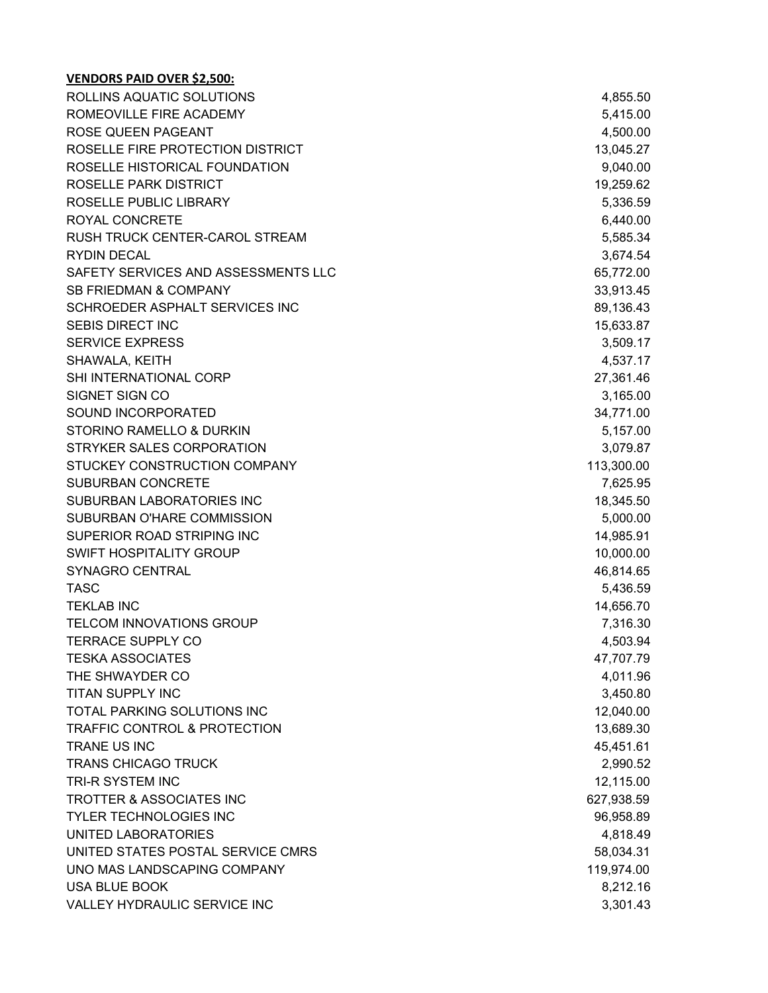| ROLLINS AQUATIC SOLUTIONS               | 4,855.50   |
|-----------------------------------------|------------|
| ROMEOVILLE FIRE ACADEMY                 | 5,415.00   |
| ROSE QUEEN PAGEANT                      | 4,500.00   |
| ROSELLE FIRE PROTECTION DISTRICT        | 13,045.27  |
| ROSELLE HISTORICAL FOUNDATION           | 9,040.00   |
| ROSELLE PARK DISTRICT                   | 19,259.62  |
| ROSELLE PUBLIC LIBRARY                  | 5,336.59   |
| ROYAL CONCRETE                          | 6,440.00   |
| RUSH TRUCK CENTER-CAROL STREAM          | 5,585.34   |
| <b>RYDIN DECAL</b>                      | 3,674.54   |
| SAFETY SERVICES AND ASSESSMENTS LLC     | 65,772.00  |
| <b>SB FRIEDMAN &amp; COMPANY</b>        | 33,913.45  |
| SCHROEDER ASPHALT SERVICES INC          | 89,136.43  |
| SEBIS DIRECT INC                        | 15,633.87  |
| <b>SERVICE EXPRESS</b>                  | 3,509.17   |
| SHAWALA, KEITH                          | 4,537.17   |
| SHI INTERNATIONAL CORP                  | 27,361.46  |
| <b>SIGNET SIGN CO</b>                   | 3,165.00   |
| SOUND INCORPORATED                      | 34,771.00  |
| STORINO RAMELLO & DURKIN                | 5,157.00   |
| STRYKER SALES CORPORATION               | 3,079.87   |
| STUCKEY CONSTRUCTION COMPANY            | 113,300.00 |
| <b>SUBURBAN CONCRETE</b>                | 7,625.95   |
| SUBURBAN LABORATORIES INC               | 18,345.50  |
| SUBURBAN O'HARE COMMISSION              | 5,000.00   |
| SUPERIOR ROAD STRIPING INC              | 14,985.91  |
| <b>SWIFT HOSPITALITY GROUP</b>          | 10,000.00  |
| SYNAGRO CENTRAL                         | 46,814.65  |
| <b>TASC</b>                             | 5,436.59   |
| <b>TEKLAB INC</b>                       | 14,656.70  |
| <b>TELCOM INNOVATIONS GROUP</b>         | 7,316.30   |
| <b>TERRACE SUPPLY CO</b>                | 4,503.94   |
| <b>TESKA ASSOCIATES</b>                 | 47,707.79  |
| THE SHWAYDER CO                         | 4,011.96   |
| TITAN SUPPLY INC                        | 3,450.80   |
| TOTAL PARKING SOLUTIONS INC             | 12,040.00  |
| <b>TRAFFIC CONTROL &amp; PROTECTION</b> | 13,689.30  |
| TRANE US INC                            | 45,451.61  |
| <b>TRANS CHICAGO TRUCK</b>              | 2,990.52   |
| TRI-R SYSTEM INC                        | 12,115.00  |
| <b>TROTTER &amp; ASSOCIATES INC</b>     | 627,938.59 |
| <b>TYLER TECHNOLOGIES INC</b>           | 96,958.89  |
| UNITED LABORATORIES                     | 4,818.49   |
| UNITED STATES POSTAL SERVICE CMRS       | 58,034.31  |
| UNO MAS LANDSCAPING COMPANY             | 119,974.00 |
| <b>USA BLUE BOOK</b>                    | 8,212.16   |
| VALLEY HYDRAULIC SERVICE INC            | 3,301.43   |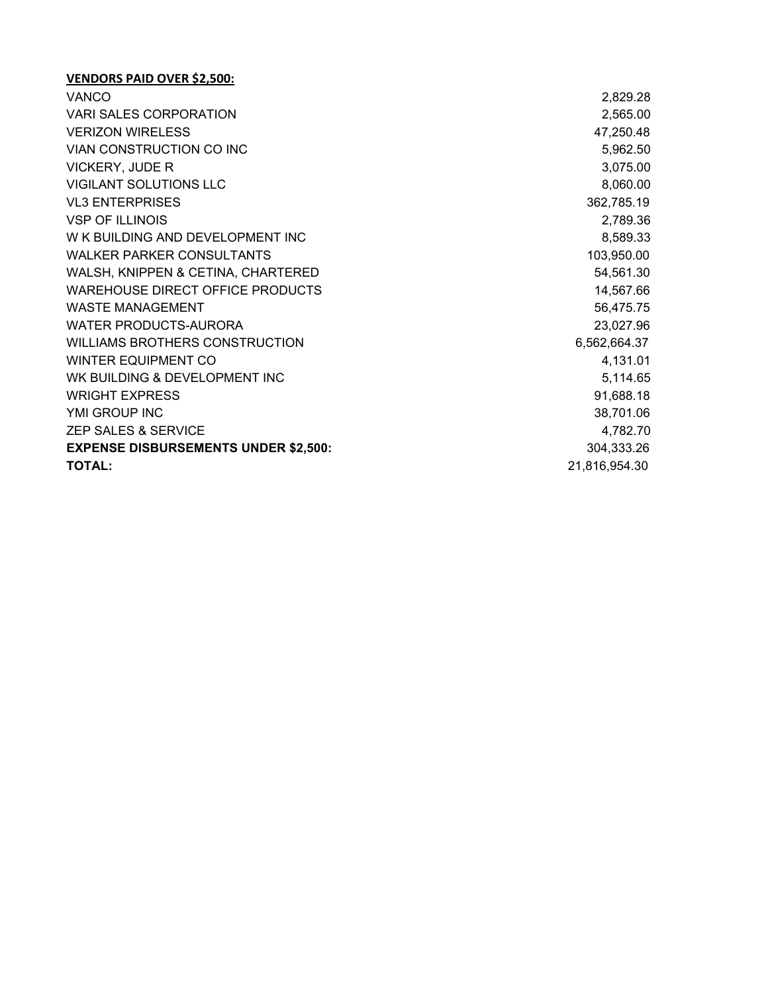| 2,829.28      |
|---------------|
| 2,565.00      |
| 47,250.48     |
| 5,962.50      |
| 3,075.00      |
| 8,060.00      |
| 362,785.19    |
| 2,789.36      |
| 8,589.33      |
| 103,950.00    |
| 54,561.30     |
| 14,567.66     |
| 56,475.75     |
| 23,027.96     |
| 6,562,664.37  |
| 4,131.01      |
| 5,114.65      |
| 91,688.18     |
| 38,701.06     |
| 4,782.70      |
| 304,333.26    |
| 21,816,954.30 |
|               |